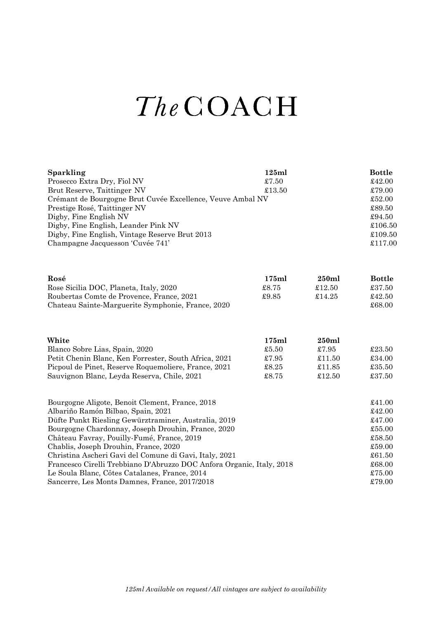## The COACH

| Sparkling                                                                                  | 125ml  |        | <b>Bottle</b><br>£42.00<br>$\pounds79.00$ |                                                                |
|--------------------------------------------------------------------------------------------|--------|--------|-------------------------------------------|----------------------------------------------------------------|
| Prosecco Extra Dry, Fiol NV                                                                | £7.50  |        |                                           |                                                                |
| Brut Reserve, Taittinger NV                                                                | £13.50 |        |                                           |                                                                |
| Crémant de Bourgogne Brut Cuvée Excellence, Veuve Ambal NV<br>Prestige Rosé, Taittinger NV |        |        |                                           |                                                                |
|                                                                                            |        |        |                                           | Digby, Fine English NV<br>Digby, Fine English, Leander Pink NV |
| Digby, Fine English, Vintage Reserve Brut 2013                                             |        |        | £109.50                                   |                                                                |
| Champagne Jacquesson 'Cuvée 741'                                                           |        |        | £117.00                                   |                                                                |
| Rosé                                                                                       | 175ml  | 250ml  | <b>Bottle</b>                             |                                                                |
| Rose Sicilia DOC, Planeta, Italy, 2020                                                     | £8.75  | £12.50 | £37.50                                    |                                                                |
| Roubertas Comte de Provence, France, 2021                                                  | £9.85  | £14.25 | £42.50                                    |                                                                |
| Chateau Sainte-Marguerite Symphonie, France, 2020                                          |        |        | £68.00                                    |                                                                |
| White                                                                                      | 175ml  | 250ml  |                                           |                                                                |
| Blanco Sobre Lias, Spain, 2020                                                             | £5.50  | £7.95  | £23.50                                    |                                                                |
| Petit Chenin Blanc, Ken Forrester, South Africa, 2021                                      | £7.95  | £11.50 | £34.00                                    |                                                                |
| Picpoul de Pinet, Reserve Roquemoliere, France, 2021                                       | £8.25  | £11.85 | £35.50                                    |                                                                |
| Sauvignon Blanc, Leyda Reserva, Chile, 2021                                                | £8.75  | £12.50 | £37.50                                    |                                                                |
| Bourgogne Aligote, Benoit Clement, France, 2018                                            |        |        | £41.00                                    |                                                                |
| Albariño Ramón Bilbao, Spain, 2021                                                         |        |        | £42.00                                    |                                                                |
| Düfte Punkt Riesling Gewürztraminer, Australia, 2019                                       |        |        |                                           |                                                                |
| Bourgogne Chardonnay, Joseph Drouhin, France, 2020                                         |        |        |                                           |                                                                |
| Château Favray, Pouilly-Fumé, France, 2019                                                 |        |        |                                           |                                                                |
| Chablis, Joseph Drouhin, France, 2020                                                      |        |        |                                           |                                                                |
| Christina Ascheri Gavi del Comune di Gavi, Italy, 2021                                     |        |        |                                           |                                                                |
| Francesco Cirelli Trebbiano D'Abruzzo DOC Anfora Organic, Italy, 2018                      |        |        |                                           |                                                                |
| Le Soula Blanc, Côtes Catalanes, France, 2014                                              |        |        |                                           |                                                                |
| Sancerre, Les Monts Damnes, France, 2017/2018                                              |        |        |                                           |                                                                |